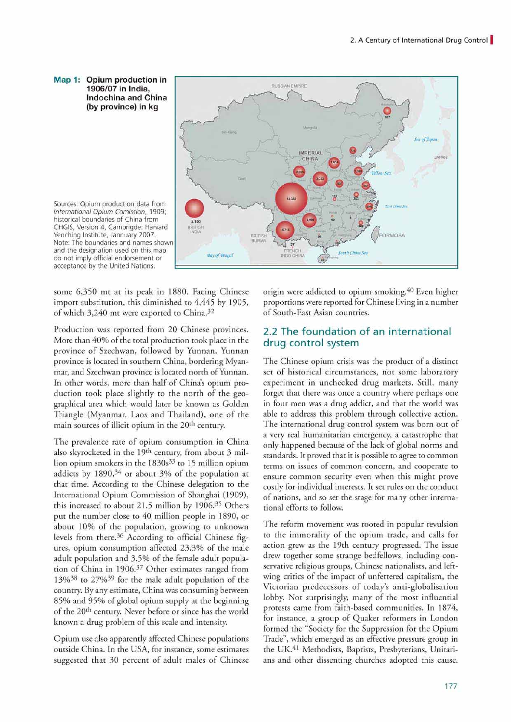### Map 1: Opium production in 1906/07 in India, **Indochina and China** (by province) in kg

Sources: Opium production data from International Opium Comission, 1909; historical boundaries of China from CHGIS, Version 4, Cambrigde: Harvard Yenching Institute, Jannuary 2007. Note: The boundaries and names shown and the designation used on this map do not imply official endorsement or acceptance by the United Nations.

some 6,350 mt at its peak in 1880. Facing Chinese import-substitution, this diminished to 4,445 by 1905, of which 3,240 mt were exported to China.<sup>32</sup>

Production was reported from 20 Chinese provinces. More than 40% of the total production took place in the province of Szechwan, followed by Yunnan. Yunnan province is located in southern China, bordering Myanmar, and Szechwan province is located north of Yunnan. In other words, more than half of China's opium production took place slightly to the north of the geographical area which would later be known as Golden Triangle (Myanmar, Laos and Thailand), one of the main sources of illicit opium in the 20<sup>th</sup> century.

The prevalence rate of opium consumption in China also skyrocketed in the 19th century, from about 3 million opium smokers in the 1830s<sup>33</sup> to 15 million opium addicts by 1890,<sup>34</sup> or about 3% of the population at that time. According to the Chinese delegation to the International Opium Commission of Shanghai (1909), this increased to about 21.5 million by 1906.<sup>35</sup> Others put the number close to 40 million people in 1890, or about 10% of the population, growing to unknown levels from there.<sup>36</sup> According to official Chinese figures, opium consumption affected 23.3% of the male adult population and 3.5% of the female adult population of China in 1906.<sup>37</sup> Other estimates ranged from 13%<sup>38</sup> to 27%<sup>39</sup> for the male adult population of the country. By any estimate, China was consuming between 85% and 95% of global opium supply at the beginning of the 20<sup>th</sup> century. Never before or since has the world known a drug problem of this scale and intensity.

Opium use also apparently affected Chinese populations outside China. In the USA, for instance, some estimates suggested that 30 percent of adult males of Chinese



origin were addicted to opium smoking.<sup>40</sup> Even higher proportions were reported for Chinese living in a number of South-East Asian countries.

# 2.2 The foundation of an international drug control system

The Chinese opium crisis was the product of a distinct set of historical circumstances, not some laboratory experiment in unchecked drug markets. Still, many forget that there was once a country where perhaps one in four men was a drug addict, and that the world was able to address this problem through collective action. The international drug control system was born out of a very real humanitarian emergency, a catastrophe that only happened because of the lack of global norms and standards. It proved that it is possible to agree to common terms on issues of common concern, and cooperate to ensure common security even when this might prove costly for individual interests. It set rules on the conduct of nations, and so set the stage for many other international efforts to follow.

The reform movement was rooted in popular revulsion to the immorality of the opium trade, and calls for action grew as the 19th century progressed. The issue drew together some strange bedfellows, including conservative religious groups, Chinese nationalists, and leftwing critics of the impact of unfettered capitalism, the Victorian predecessors of today's anti-globalisation lobby. Not surprisingly, many of the most influential protests came from faith-based communities. In 1874, for instance, a group of Quaker reformers in London formed the "Society for the Suppression for the Opium Trade", which emerged as an effective pressure group in the UK.<sup>41</sup> Methodists, Baptists, Presbyterians, Unitarians and other dissenting churches adopted this cause.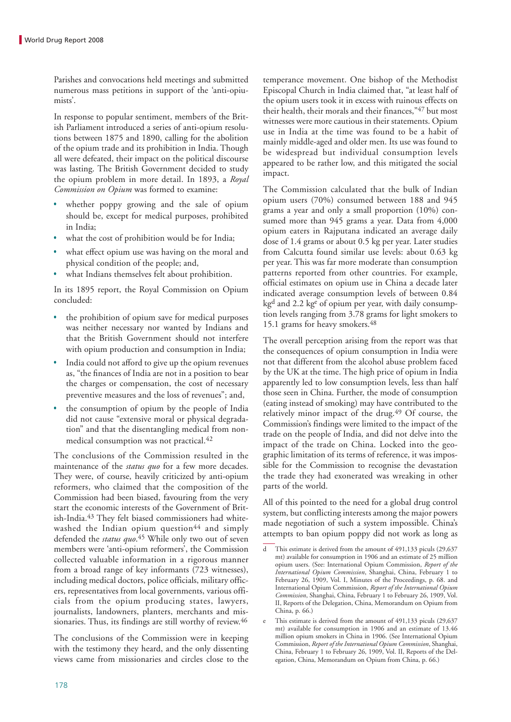Parishes and convocations held meetings and submitted numerous mass petitions in support of the 'anti-opiumists'.

In response to popular sentiment, members of the British Parliament introduced a series of anti-opium resolutions between 1875 and 1890, calling for the abolition of the opium trade and its prohibition in India. Though all were defeated, their impact on the political discourse was lasting. The British Government decided to study the opium problem in more detail. In 1893, a *Royal Commission on Opium* was formed to examine:

- whether poppy growing and the sale of opium should be, except for medical purposes, prohibited in India;
- what the cost of prohibition would be for India;
- what effect opium use was having on the moral and physical condition of the people; and,
- what Indians themselves felt about prohibition.

In its 1895 report, the Royal Commission on Opium concluded:

- the prohibition of opium save for medical purposes was neither necessary nor wanted by Indians and that the British Government should not interfere with opium production and consumption in India;
- India could not afford to give up the opium revenues as, "the finances of India are not in a position to bear the charges or compensation, the cost of necessary preventive measures and the loss of revenues"; and,
- the consumption of opium by the people of India did not cause "extensive moral or physical degradation" and that the disentangling medical from nonmedical consumption was not practical.42

The conclusions of the Commission resulted in the maintenance of the *status quo* for a few more decades. They were, of course, heavily criticized by anti-opium reformers, who claimed that the composition of the Commission had been biased, favouring from the very start the economic interests of the Government of British-India.<sup>43</sup> They felt biased commissioners had whitewashed the Indian opium question<sup>44</sup> and simply defended the *status quo*.45 While only two out of seven members were 'anti-opium reformers', the Commission collected valuable information in a rigorous manner from a broad range of key informants (723 witnesses), including medical doctors, police officials, military officers, representatives from local governments, various officials from the opium producing states, lawyers, journalists, landowners, planters, merchants and missionaries. Thus, its findings are still worthy of review.<sup>46</sup>

The conclusions of the Commission were in keeping with the testimony they heard, and the only dissenting views came from missionaries and circles close to the

temperance movement. One bishop of the Methodist Episcopal Church in India claimed that, "at least half of the opium users took it in excess with ruinous effects on their health, their morals and their finances,"47 but most witnesses were more cautious in their statements. Opium use in India at the time was found to be a habit of mainly middle-aged and older men. Its use was found to be widespread but individual consumption levels appeared to be rather low, and this mitigated the social impact.

The Commission calculated that the bulk of Indian opium users (70%) consumed between 188 and 945 grams a year and only a small proportion (10%) consumed more than 945 grams a year. Data from 4,000 opium eaters in Rajputana indicated an average daily dose of 1.4 grams or about 0.5 kg per year. Later studies from Calcutta found similar use levels: about 0.63 kg per year. This was far more moderate than consumption patterns reported from other countries. For example, official estimates on opium use in China a decade later indicated average consumption levels of between 0.84 kgd and 2.2 kge of opium per year, with daily consumption levels ranging from 3.78 grams for light smokers to 15.1 grams for heavy smokers.48

The overall perception arising from the report was that the consequences of opium consumption in India were not that different from the alcohol abuse problem faced by the UK at the time. The high price of opium in India apparently led to low consumption levels, less than half those seen in China. Further, the mode of consumption (eating instead of smoking) may have contributed to the relatively minor impact of the drug.<sup>49</sup> Of course, the Commission's findings were limited to the impact of the trade on the people of India, and did not delve into the impact of the trade on China. Locked into the geographic limitation of its terms of reference, it was impossible for the Commission to recognise the devastation the trade they had exonerated was wreaking in other parts of the world.

All of this pointed to the need for a global drug control system, but conflicting interests among the major powers made negotiation of such a system impossible. China's attempts to ban opium poppy did not work as long as

d This estimate is derived from the amount of 491,133 piculs (29,637 mt) available for consumption in 1906 and an estimate of 25 million opium users. (See: International Opium Commission, *Report of the International Opium Commission*, Shanghai, China, February 1 to February 26, 1909, Vol. I, Minutes of the Proceedings, p. 68. and International Opium Commission, *Report of the International Opium Commission*, Shanghai, China, February 1 to February 26, 1909, Vol. II, Reports of the Delegation, China, Memorandum on Opium from China, p. 66.)

e This estimate is derived from the amount of 491,133 piculs (29,637 mt) available for consumption in 1906 and an estimate of 13.46 million opium smokers in China in 1906. (See International Opium Commission, *Report of the International Opium Commission*, Shanghai, China, February 1 to February 26, 1909, Vol. II, Reports of the Delegation, China, Memorandum on Opium from China, p. 66.)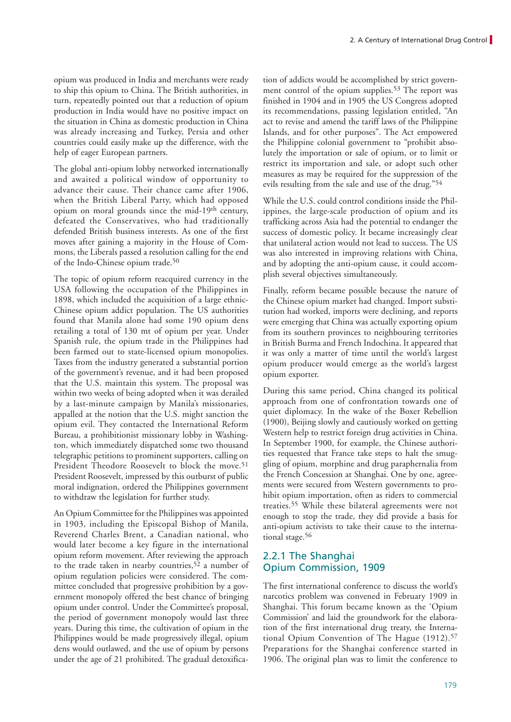opium was produced in India and merchants were ready to ship this opium to China. The British authorities, in turn, repeatedly pointed out that a reduction of opium production in India would have no positive impact on the situation in China as domestic production in China was already increasing and Turkey, Persia and other countries could easily make up the difference, with the help of eager European partners.

The global anti-opium lobby networked internationally and awaited a political window of opportunity to advance their cause. Their chance came after 1906, when the British Liberal Party, which had opposed opium on moral grounds since the mid-19th century, defeated the Conservatives, who had traditionally defended British business interests. As one of the first moves after gaining a majority in the House of Commons, the Liberals passed a resolution calling for the end of the Indo-Chinese opium trade.<sup>50</sup>

The topic of opium reform reacquired currency in the USA following the occupation of the Philippines in 1898, which included the acquisition of a large ethnic-Chinese opium addict population. The US authorities found that Manila alone had some 190 opium dens retailing a total of 130 mt of opium per year. Under Spanish rule, the opium trade in the Philippines had been farmed out to state-licensed opium monopolies. Taxes from the industry generated a substantial portion of the government's revenue, and it had been proposed that the U.S. maintain this system. The proposal was within two weeks of being adopted when it was derailed by a last-minute campaign by Manila's missionaries, appalled at the notion that the U.S. might sanction the opium evil. They contacted the International Reform Bureau, a prohibitionist missionary lobby in Washington, which immediately dispatched some two thousand telegraphic petitions to prominent supporters, calling on President Theodore Roosevelt to block the move.<sup>51</sup> President Roosevelt, impressed by this outburst of public moral indignation, ordered the Philippines government to withdraw the legislation for further study.

An Opium Committee for the Philippines was appointed in 1903, including the Episcopal Bishop of Manila, Reverend Charles Brent, a Canadian national, who would later become a key figure in the international opium reform movement. After reviewing the approach to the trade taken in nearby countries,<sup>52</sup> a number of opium regulation policies were considered. The committee concluded that progressive prohibition by a government monopoly offered the best chance of bringing opium under control. Under the Committee's proposal, the period of government monopoly would last three years. During this time, the cultivation of opium in the Philippines would be made progressively illegal, opium dens would outlawed, and the use of opium by persons under the age of 21 prohibited. The gradual detoxifica-

tion of addicts would be accomplished by strict government control of the opium supplies.53 The report was finished in 1904 and in 1905 the US Congress adopted its recommendations, passing legislation entitled, "An act to revise and amend the tariff laws of the Philippine Islands, and for other purposes". The Act empowered the Philippine colonial government to "prohibit absolutely the importation or sale of opium, or to limit or restrict its importation and sale, or adopt such other measures as may be required for the suppression of the evils resulting from the sale and use of the drug."54

While the U.S. could control conditions inside the Philippines, the large-scale production of opium and its trafficking across Asia had the potential to endanger the success of domestic policy. It became increasingly clear that unilateral action would not lead to success. The US was also interested in improving relations with China, and by adopting the anti-opium cause, it could accomplish several objectives simultaneously.

Finally, reform became possible because the nature of the Chinese opium market had changed. Import substitution had worked, imports were declining, and reports were emerging that China was actually exporting opium from its southern provinces to neighbouring territories in British Burma and French Indochina. It appeared that it was only a matter of time until the world's largest opium producer would emerge as the world's largest opium exporter.

During this same period, China changed its political approach from one of confrontation towards one of quiet diplomacy. In the wake of the Boxer Rebellion (1900), Beijing slowly and cautiously worked on getting Western help to restrict foreign drug activities in China. In September 1900, for example, the Chinese authorities requested that France take steps to halt the smuggling of opium, morphine and drug paraphernalia from the French Concession at Shanghai. One by one, agreements were secured from Western governments to prohibit opium importation, often as riders to commercial treaties.55 While these bilateral agreements were not enough to stop the trade, they did provide a basis for anti-opium activists to take their cause to the international stage.<sup>56</sup>

# 2.2.1 The Shanghai Opium Commission, 1909

The first international conference to discuss the world's narcotics problem was convened in February 1909 in Shanghai. This forum became known as the 'Opium Commission' and laid the groundwork for the elaboration of the first international drug treaty, the International Opium Convention of The Hague (1912).<sup>57</sup> Preparations for the Shanghai conference started in 1906. The original plan was to limit the conference to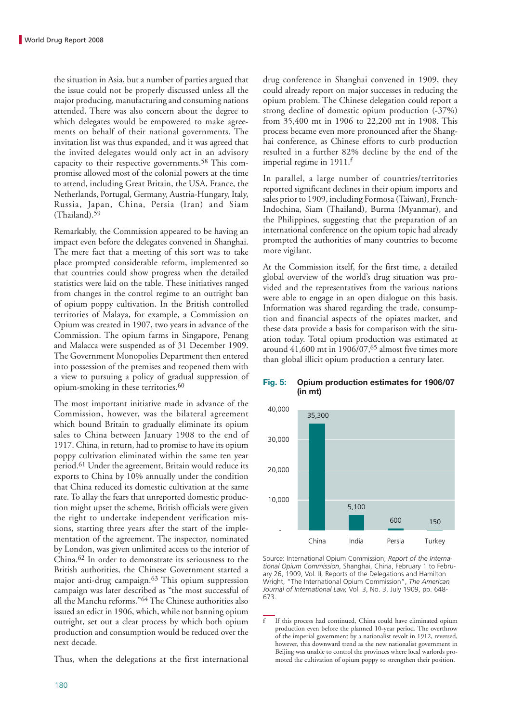the situation in Asia, but a number of parties argued that the issue could not be properly discussed unless all the major producing, manufacturing and consuming nations attended. There was also concern about the degree to which delegates would be empowered to make agreements on behalf of their national governments. The invitation list was thus expanded, and it was agreed that the invited delegates would only act in an advisory capacity to their respective governments.58 This compromise allowed most of the colonial powers at the time to attend, including Great Britain, the USA, France, the Netherlands, Portugal, Germany, Austria-Hungary, Italy, Russia, Japan, China, Persia (Iran) and Siam (Thailand).59

Remarkably, the Commission appeared to be having an impact even before the delegates convened in Shanghai. The mere fact that a meeting of this sort was to take place prompted considerable reform, implemented so that countries could show progress when the detailed statistics were laid on the table. These initiatives ranged from changes in the control regime to an outright ban of opium poppy cultivation. In the British controlled territories of Malaya, for example, a Commission on Opium was created in 1907, two years in advance of the Commission. The opium farms in Singapore, Penang and Malacca were suspended as of 31 December 1909. The Government Monopolies Department then entered into possession of the premises and reopened them with a view to pursuing a policy of gradual suppression of opium-smoking in these territories.<sup>60</sup>

The most important initiative made in advance of the Commission, however, was the bilateral agreement which bound Britain to gradually eliminate its opium sales to China between January 1908 to the end of 1917. China, in return, had to promise to have its opium poppy cultivation eliminated within the same ten year period.61 Under the agreement, Britain would reduce its exports to China by 10% annually under the condition that China reduced its domestic cultivation at the same rate. To allay the fears that unreported domestic production might upset the scheme, British officials were given the right to undertake independent verification missions, starting three years after the start of the implementation of the agreement. The inspector, nominated by London, was given unlimited access to the interior of China.62 In order to demonstrate its seriousness to the British authorities, the Chinese Government started a major anti-drug campaign.63 This opium suppression campaign was later described as "the most successful of all the Manchu reforms."64 The Chinese authorities also issued an edict in 1906, which, while not banning opium outright, set out a clear process by which both opium production and consumption would be reduced over the next decade.

Thus, when the delegations at the first international

drug conference in Shanghai convened in 1909, they could already report on major successes in reducing the opium problem. The Chinese delegation could report a strong decline of domestic opium production (-37%) from 35,400 mt in 1906 to 22,200 mt in 1908. This process became even more pronounced after the Shanghai conference, as Chinese efforts to curb production resulted in a further 82% decline by the end of the imperial regime in 1911.<sup>f</sup>

In parallel, a large number of countries/territories reported significant declines in their opium imports and sales prior to 1909, including Formosa (Taiwan), French-Indochina, Siam (Thailand), Burma (Myanmar), and the Philippines, suggesting that the preparation of an international conference on the opium topic had already prompted the authorities of many countries to become more vigilant.

At the Commission itself, for the first time, a detailed global overview of the world's drug situation was provided and the representatives from the various nations were able to engage in an open dialogue on this basis. Information was shared regarding the trade, consumption and financial aspects of the opiates market, and these data provide a basis for comparison with the situation today. Total opium production was estimated at around 41,600 mt in 1906/07,<sup>65</sup> almost five times more than global illicit opium production a century later.

## **Fig. 5: Opium production estimates for 1906/07 (in mt)**



Source: International Opium Commission, *Report of the International Opium Commission*, Shanghai, China, February 1 to February 26, 1909, Vol. II, Reports of the Delegations and Hamilton Wright, "The International Opium Commission", *The American Journal of International Law,* Vol. 3, No. 3, July 1909, pp. 648- 673.

f If this process had continued, China could have eliminated opium production even before the planned 10-year period. The overthrow of the imperial government by a nationalist revolt in 1912, reversed, however, this downward trend as the new nationalist government in Beijing was unable to control the provinces where local warlords promoted the cultivation of opium poppy to strengthen their position.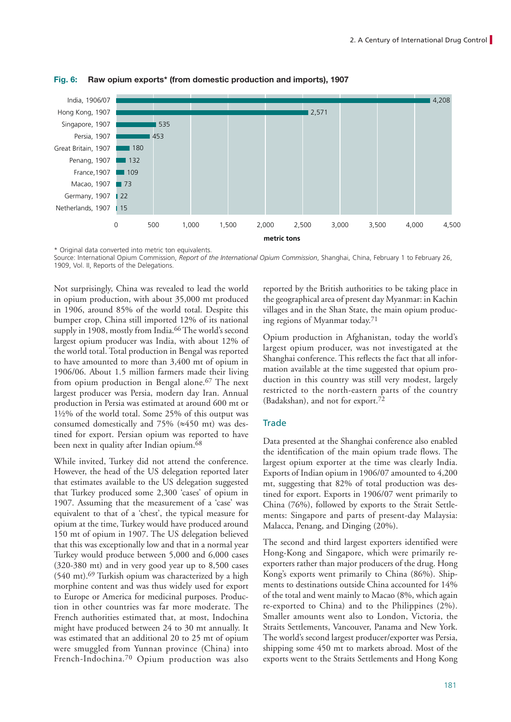

### **Fig. 6: Raw opium exports\* (from domestic production and imports), 1907**

\* Original data converted into metric ton equivalents.

Source: International Opium Commission, *Report of the International Opium Commission*, Shanghai, China, February 1 to February 26, 1909, Vol. II, Reports of the Delegations.

Not surprisingly, China was revealed to lead the world in opium production, with about 35,000 mt produced in 1906, around 85% of the world total. Despite this bumper crop, China still imported 12% of its national supply in 1908, mostly from India.<sup>66</sup> The world's second largest opium producer was India, with about 12% of the world total. Total production in Bengal was reported to have amounted to more than 3,400 mt of opium in 1906/06. About 1.5 million farmers made their living from opium production in Bengal alone.67 The next largest producer was Persia, modern day Iran. Annual production in Persia was estimated at around 600 mt or 1½% of the world total. Some 25% of this output was consumed domestically and 75% ( $\approx$ 450 mt) was destined for export. Persian opium was reported to have been next in quality after Indian opium.68

While invited, Turkey did not attend the conference. However, the head of the US delegation reported later that estimates available to the US delegation suggested that Turkey produced some 2,300 'cases' of opium in 1907. Assuming that the measurement of a 'case' was equivalent to that of a 'chest', the typical measure for opium at the time, Turkey would have produced around 150 mt of opium in 1907. The US delegation believed that this was exceptionally low and that in a normal year Turkey would produce between 5,000 and 6,000 cases (320-380 mt) and in very good year up to 8,500 cases (540 mt).69 Turkish opium was characterized by a high morphine content and was thus widely used for export to Europe or America for medicinal purposes. Production in other countries was far more moderate. The French authorities estimated that, at most, Indochina might have produced between 24 to 30 mt annually. It was estimated that an additional 20 to 25 mt of opium were smuggled from Yunnan province (China) into French-Indochina.70 Opium production was also

reported by the British authorities to be taking place in the geographical area of present day Myanmar: in Kachin villages and in the Shan State, the main opium producing regions of Myanmar today.71

Opium production in Afghanistan, today the world's largest opium producer, was not investigated at the Shanghai conference. This reflects the fact that all information available at the time suggested that opium production in this country was still very modest, largely restricted to the north-eastern parts of the country (Badakshan), and not for export.72

### **Trade**

Data presented at the Shanghai conference also enabled the identification of the main opium trade flows. The largest opium exporter at the time was clearly India. Exports of Indian opium in 1906/07 amounted to 4,200 mt, suggesting that 82% of total production was destined for export. Exports in 1906/07 went primarily to China (76%), followed by exports to the Strait Settlements: Singapore and parts of present-day Malaysia: Malacca, Penang, and Dinging (20%).

The second and third largest exporters identified were Hong-Kong and Singapore, which were primarily reexporters rather than major producers of the drug. Hong Kong's exports went primarily to China (86%). Shipments to destinations outside China accounted for 14% of the total and went mainly to Macao (8%, which again re-exported to China) and to the Philippines (2%). Smaller amounts went also to London, Victoria, the Straits Settlements, Vancouver, Panama and New York. The world's second largest producer/exporter was Persia, shipping some 450 mt to markets abroad. Most of the exports went to the Straits Settlements and Hong Kong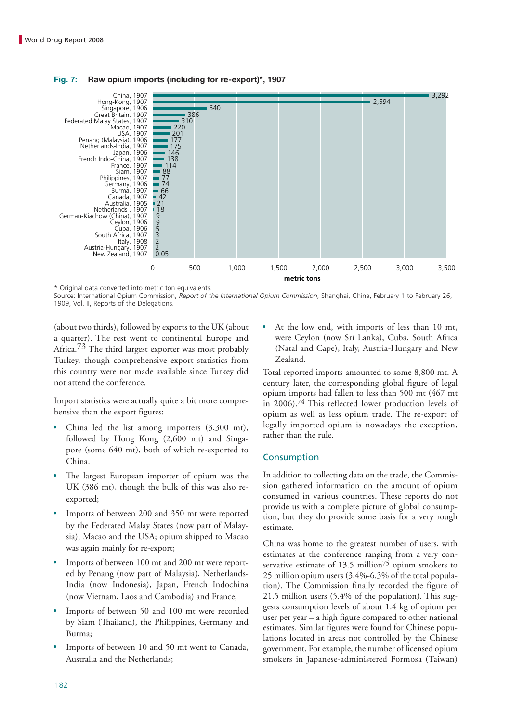

## **Fig. 7: Raw opium imports (including for re-export)\*, 1907**

\* Original data converted into metric ton equivalents.

Source: International Opium Commission, *Report of the International Opium Commission*, Shanghai, China, February 1 to February 26, 1909, Vol. II, Reports of the Delegations.

(about two thirds), followed by exports to the UK (about a quarter). The rest went to continental Europe and Africa. $^{73}$  The third largest exporter was most probably Turkey, though comprehensive export statistics from this country were not made available since Turkey did not attend the conference.

Import statistics were actually quite a bit more comprehensive than the export figures:

- China led the list among importers (3,300 mt), followed by Hong Kong (2,600 mt) and Singapore (some 640 mt), both of which re-exported to China.
- The largest European importer of opium was the UK (386 mt), though the bulk of this was also reexported;
- Imports of between 200 and 350 mt were reported by the Federated Malay States (now part of Malaysia), Macao and the USA; opium shipped to Macao was again mainly for re-export;
- Imports of between 100 mt and 200 mt were reported by Penang (now part of Malaysia), Netherlands-India (now Indonesia), Japan, French Indochina (now Vietnam, Laos and Cambodia) and France;
- Imports of between 50 and 100 mt were recorded by Siam (Thailand), the Philippines, Germany and Burma;
- Imports of between 10 and 50 mt went to Canada, Australia and the Netherlands;

At the low end, with imports of less than 10 mt, were Ceylon (now Sri Lanka), Cuba, South Africa (Natal and Cape), Italy, Austria-Hungary and New Zealand.

Total reported imports amounted to some 8,800 mt. A century later, the corresponding global figure of legal opium imports had fallen to less than 500 mt (467 mt in 2006).74 This reflected lower production levels of opium as well as less opium trade. The re-export of legally imported opium is nowadays the exception, rather than the rule.

# Consumption

In addition to collecting data on the trade, the Commission gathered information on the amount of opium consumed in various countries. These reports do not provide us with a complete picture of global consumption, but they do provide some basis for a very rough estimate.

China was home to the greatest number of users, with estimates at the conference ranging from a very conservative estimate of 13.5 million<sup>75</sup> opium smokers to 25 million opium users (3.4%-6.3% of the total population). The Commission finally recorded the figure of 21.5 million users (5.4% of the population). This suggests consumption levels of about 1.4 kg of opium per user per year – a high figure compared to other national estimates. Similar figures were found for Chinese populations located in areas not controlled by the Chinese government. For example, the number of licensed opium smokers in Japanese-administered Formosa (Taiwan)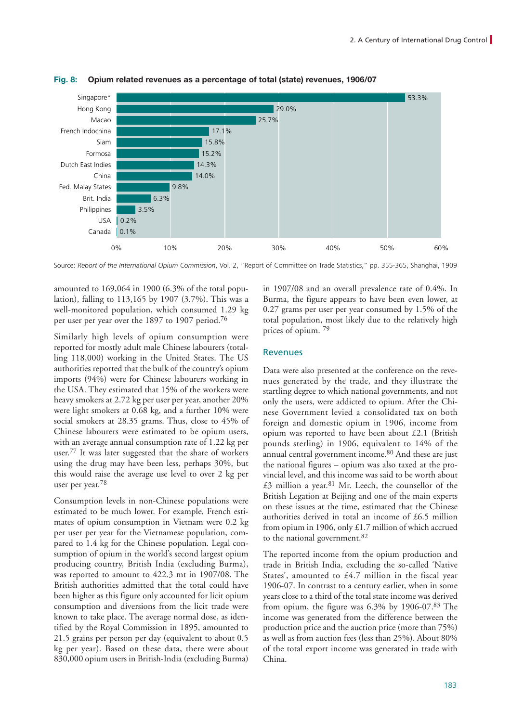

### **Fig. 8: Opium related revenues as a percentage of total (state) revenues, 1906/07**

Source: *Report of the International Opium Commission*, Vol. 2, "Report of Committee on Trade Statistics," pp. 355-365, Shanghai, 1909

amounted to 169,064 in 1900 (6.3% of the total population), falling to 113,165 by 1907 (3.7%). This was a well-monitored population, which consumed 1.29 kg per user per year over the 1897 to 1907 period.76

Similarly high levels of opium consumption were reported for mostly adult male Chinese labourers (totalling 118,000) working in the United States. The US authorities reported that the bulk of the country's opium imports (94%) were for Chinese labourers working in the USA. They estimated that 15% of the workers were heavy smokers at 2.72 kg per user per year, another 20% were light smokers at 0.68 kg, and a further 10% were social smokers at 28.35 grams. Thus, close to 45% of Chinese labourers were estimated to be opium users, with an average annual consumption rate of 1.22 kg per user.77 It was later suggested that the share of workers using the drug may have been less, perhaps 30%, but this would raise the average use level to over 2 kg per user per year.78

Consumption levels in non-Chinese populations were estimated to be much lower. For example, French estimates of opium consumption in Vietnam were 0.2 kg per user per year for the Vietnamese population, compared to 1.4 kg for the Chinese population. Legal consumption of opium in the world's second largest opium producing country, British India (excluding Burma), was reported to amount to 422.3 mt in 1907/08. The British authorities admitted that the total could have been higher as this figure only accounted for licit opium consumption and diversions from the licit trade were known to take place. The average normal dose, as identified by the Royal Commission in 1895, amounted to 21.5 grains per person per day (equivalent to about 0.5 kg per year). Based on these data, there were about 830,000 opium users in British-India (excluding Burma)

in 1907/08 and an overall prevalence rate of 0.4%. In Burma, the figure appears to have been even lower, at 0.27 grams per user per year consumed by 1.5% of the total population, most likely due to the relatively high prices of opium. 79

### Revenues

Data were also presented at the conference on the revenues generated by the trade, and they illustrate the startling degree to which national governments, and not only the users, were addicted to opium. After the Chinese Government levied a consolidated tax on both foreign and domestic opium in 1906, income from opium was reported to have been about £2.1 (British pounds sterling) in 1906, equivalent to 14% of the annual central government income.80 And these are just the national figures – opium was also taxed at the provincial level, and this income was said to be worth about  $£3$  million a year.<sup>81</sup> Mr. Leech, the counsellor of the British Legation at Beijing and one of the main experts on these issues at the time, estimated that the Chinese authorities derived in total an income of £6.5 million from opium in 1906, only £1.7 million of which accrued to the national government.82

The reported income from the opium production and trade in British India, excluding the so-called 'Native States', amounted to £4.7 million in the fiscal year 1906-07. In contrast to a century earlier, when in some years close to a third of the total state income was derived from opium, the figure was 6.3% by 1906-07.83 The income was generated from the difference between the production price and the auction price (more than 75%) as well as from auction fees (less than 25%). About 80% of the total export income was generated in trade with China.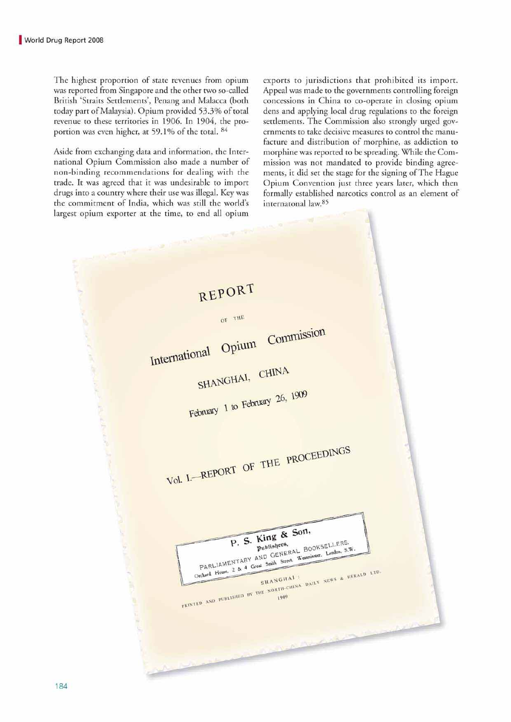The highest proportion of state revenues from opium was reported from Singapore and the other two so-called British 'Straits Settlements', Penang and Malacca (both today part of Malaysia). Opium provided 53.3% of total revenue to these territories in 1906. In 1904, the proportion was even higher, at 59.1% of the total. 84

Aside from exchanging data and information, the International Opium Commission also made a number of non-binding recommendations for dealing with the trade. It was agreed that it was undesirable to import drugs into a country where their use was illegal. Key was the commitment of India, which was still the world's largest opium exporter at the time, to end all opium

exports to jurisdictions that prohibited its import. Appeal was made to the governments controlling foreign concessions in China to co-operate in closing opium dens and applying local drug regulations to the foreign settlements. The Commission also strongly urged governments to take decisive measures to control the manufacture and distribution of morphine, as addiction to morphine was reported to be spreading. While the Commission was not mandated to provide binding agreements, it did set the stage for the signing of The Hague Opium Convention just three years later, which then formally established narcotics control as an element of internatonal law.85

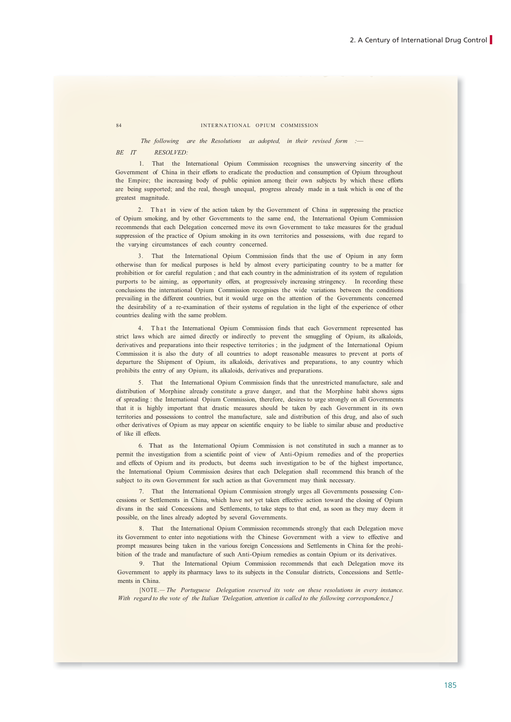#### 84 A L OPIUM COMMISSION

*The following are the Resolutions as adopted, in their revised form :*—

#### *BE IT RESOLVED:*

1. That the International Opium Commission recognises the unswerving sincerity of the Government of China in their efforts to eradicate the production and consumption of Opium throughout the Empire; the increasing body of public opinion among their own subjects by which these efforts are being supported; and the real, though unequal, progress already made in a task which is one of the greatest magnitude.

2. That in view of the action taken by the Government of China in suppressing the practice of Opium smoking, and by other Governments to the same end, the International Opium Commission recommends that each Delegation concerned move its own Government to take measures for the gradual suppression of the practice of Opium smoking in its own territories and possessions, with due regard to the varying circumstances of each country concerned.

3. That the International Opium Commission finds that the use of Opium in any form otherwise than for medical purposes is held by almost every participating country to be a matter for prohibition or for careful regulation ; and that each country in the administration of its system of regulation purports to be aiming, as opportunity offers, at progressively increasing stringency. In recording these conclusions the international Opium Commission recognises the wide variations between the conditions prevailing in the different countries, but it would urge on the attention of the Governments concerned the desirability of a re-examination of their systems of regulation in the light of the experience of other countries dealing with the same problem.

4. That the International Opium Commission finds that each Government represented has strict laws which are aimed directly or indirectly to prevent the smuggling of Opium, its alkaloids, derivatives and preparations into their respective territories ; in the judgment of the International Opium Commission it is also the duty of all countries to adopt reasonable measures to prevent at ports of departure the Shipment of Opium, its alkaloids, derivatives and preparations, to any country which prohibits the entry of any Opium, its alkaloids, derivatives and preparations.

5. That the International Opium Commission finds that the unrestricted manufacture, sale and distribution of Morphine already constitute a grave danger, and that the Morphine habit shows signs of spreading : the International Opium Commission, therefore, desires to urge strongly on all Governments that it is highly important that drastic measures should be taken by each Government in its own territories and possessions to control the manufacture, sale and distribution of this drug, and also of such other derivatives of Opium as may appear on scientific enquiry to be liable to similar abuse and productive of like ill effects.

6. That as the International Opium Commission is not constituted in such a manner as to permit the investigation from a scientific point of view of Anti-Opium remedies and of the properties and effects of Opium and its products, but deems such investigation to be of the highest importance, the International Opium Commission desires that each Delegation shall recommend this branch of the subject to its own Government for such action as that Government may think necessary.

7. That the International Opium Commission strongly urges all Governments possessing Concessions or Settlements in China, which have not yet taken effective action toward the closing of Opium divans in the said Concessions and Settlements, to take steps to that end, as soon as they may deem it possible, on the lines already adopted by several Governments.

8. That the International Opium Commission recommends strongly that each Delegation move its Government to enter into negotiations with the Chinese Government with a view to effective and prompt measures being taken in the various foreign Concessions and Settlements in China for the prohibition of the trade and manufacture of such Anti-Opium remedies as contain Opium or its derivatives.

9. That the International Opium Commission recommends that each Delegation move its Government to apply its pharmacy laws to its subjects in the Consular districts, Concessions and Settlements in China.

[NOTE.—*The Portuguese Delegation reserved its vote on these resolutions in every instance. With regard to the vote of the Italian 'Delegation, attention is called to the following correspondence.]* 

185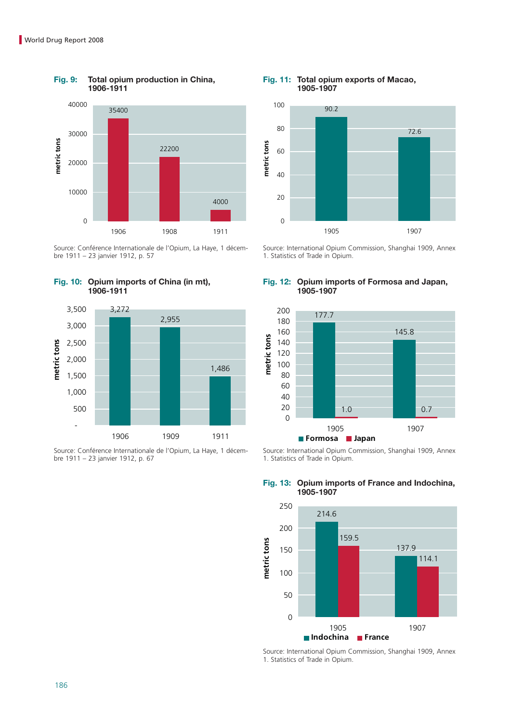

**Fig. 9: Total opium production in China, 1906-1911**

Source: Conférence Internationale de l'Opium, La Haye, 1 décembre 1911 – 23 janvier 1912, p. 57



**Fig. 10: Opium imports of China (in mt), 1906-1911**

Source: Conférence Internationale de l'Opium, La Haye, 1 décembre 1911 – 23 janvier 1912, p. 67

#### **Fig. 11: Total opium exports of Macao, 1905-1907**



Source: International Opium Commission, Shanghai 1909, Annex 1. Statistics of Trade in Opium.



### **Fig. 12: Opium imports of Formosa and Japan, 1905-1907**

Source: International Opium Commission, Shanghai 1909, Annex 1. Statistics of Trade in Opium.



#### **Fig. 13: Opium imports of France and Indochina, 1905-1907**

Source: International Opium Commission, Shanghai 1909, Annex 1. Statistics of Trade in Opium.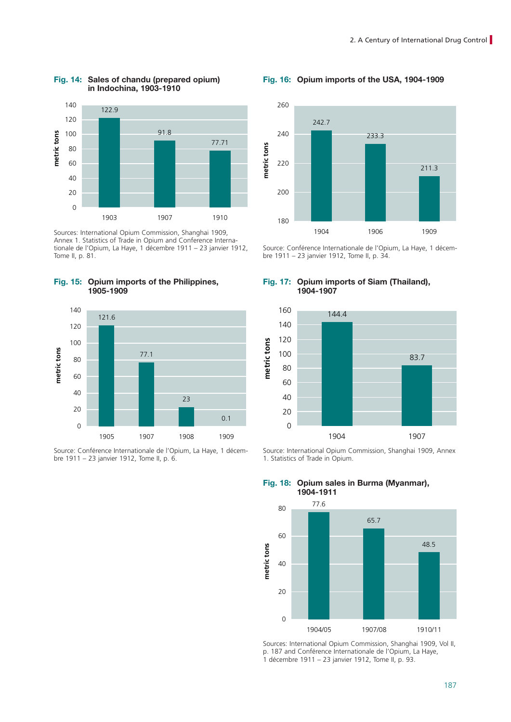

### **Fig. 14: Sales of chandu (prepared opium) in Indochina, 1903-1910**

Sources: International Opium Commission, Shanghai 1909, Annex 1. Statistics of Trade in Opium and Conference Internationale de l'Opium, La Haye, 1 décembre 1911 – 23 janvier 1912, Tome II, p. 81.



**Fig. 15: Opium imports of the Philippines, 1905-1909**

Source: Conférence Internationale de l'Opium, La Haye, 1 décembre 1911 – 23 janvier 1912, Tome II, p. 6.

## **Fig. 16: Opium imports of the USA, 1904-1909**



Source: Conférence Internationale de l'Opium, La Haye, 1 décembre 1911 – 23 janvier 1912, Tome II, p. 34.



### **Fig. 17: Opium imports of Siam (Thailand), 1904-1907**

Source: International Opium Commission, Shanghai 1909, Annex 1. Statistics of Trade in Opium.



### **Fig. 18: Opium sales in Burma (Myanmar), 1904-1911**

Sources: International Opium Commission, Shanghai 1909, Vol II, p. 187 and Conférence Internationale de l'Opium, La Haye, 1 décembre 1911 – 23 janvier 1912, Tome II, p. 93.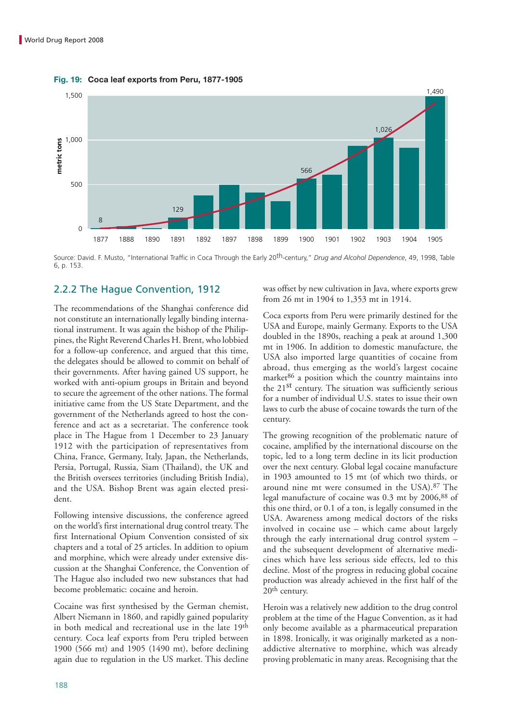

#### **Fig. 19: Coca leaf exports from Peru, 1877-1905**

Source: David. F. Musto, "International Traffic in Coca Through the Early 20th-century," *Drug and Alcohol Dependence*, 49, 1998, Table 6, p. 153.

# 2.2.2 The Hague Convention, 1912

The recommendations of the Shanghai conference did not constitute an internationally legally binding international instrument. It was again the bishop of the Philippines, the Right Reverend Charles H. Brent, who lobbied for a follow-up conference, and argued that this time, the delegates should be allowed to commit on behalf of their governments. After having gained US support, he worked with anti-opium groups in Britain and beyond to secure the agreement of the other nations. The formal initiative came from the US State Department, and the government of the Netherlands agreed to host the conference and act as a secretariat. The conference took place in The Hague from 1 December to 23 January 1912 with the participation of representatives from China, France, Germany, Italy, Japan, the Netherlands, Persia, Portugal, Russia, Siam (Thailand), the UK and the British oversees territories (including British India), and the USA. Bishop Brent was again elected president.

Following intensive discussions, the conference agreed on the world's first international drug control treaty. The first International Opium Convention consisted of six chapters and a total of 25 articles. In addition to opium and morphine, which were already under extensive discussion at the Shanghai Conference, the Convention of The Hague also included two new substances that had become problematic: cocaine and heroin.

Cocaine was first synthesised by the German chemist, Albert Niemann in 1860, and rapidly gained popularity in both medical and recreational use in the late 19th century. Coca leaf exports from Peru tripled between 1900 (566 mt) and 1905 (1490 mt), before declining again due to regulation in the US market. This decline was offset by new cultivation in Java, where exports grew from 26 mt in 1904 to 1,353 mt in 1914.

Coca exports from Peru were primarily destined for the USA and Europe, mainly Germany. Exports to the USA doubled in the 1890s, reaching a peak at around 1,300 mt in 1906. In addition to domestic manufacture, the USA also imported large quantities of cocaine from abroad, thus emerging as the world's largest cocaine market $86$  a position which the country maintains into the 21st century. The situation was sufficiently serious for a number of individual U.S. states to issue their own laws to curb the abuse of cocaine towards the turn of the century.

The growing recognition of the problematic nature of cocaine, amplified by the international discourse on the topic, led to a long term decline in its licit production over the next century. Global legal cocaine manufacture in 1903 amounted to 15 mt (of which two thirds, or around nine mt were consumed in the USA).87 The legal manufacture of cocaine was 0.3 mt by 2006,88 of this one third, or 0.1 of a ton, is legally consumed in the USA. Awareness among medical doctors of the risks involved in cocaine use – which came about largely through the early international drug control system – and the subsequent development of alternative medicines which have less serious side effects, led to this decline. Most of the progress in reducing global cocaine production was already achieved in the first half of the 20<sup>th</sup> century.

Heroin was a relatively new addition to the drug control problem at the time of the Hague Convention, as it had only become available as a pharmaceutical preparation in 1898. Ironically, it was originally marketed as a nonaddictive alternative to morphine, which was already proving problematic in many areas. Recognising that the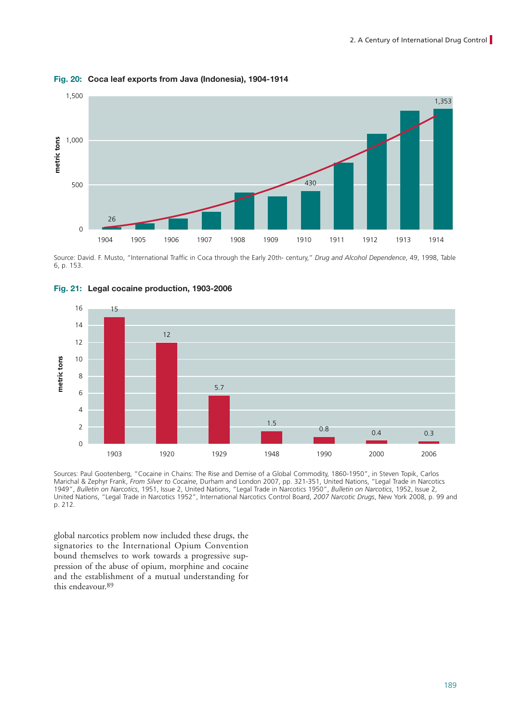

## **Fig. 20: Coca leaf exports from Java (Indonesia), 1904-1914**

Source: David. F. Musto, "International Traffic in Coca through the Early 20th- century," *Drug and Alcohol Dependence*, 49, 1998, Table 6, p. 153.



## **Fig. 21: Legal cocaine production, 1903-2006**

Sources: Paul Gootenberg, "Cocaine in Chains: The Rise and Demise of a Global Commodity, 1860-1950", in Steven Topik, Carlos Marichal & Zephyr Frank, *From Silver to Cocaine*, Durham and London 2007, pp. 321-351, United Nations, "Legal Trade in Narcotics 1949", *Bulletin on Narcotics*, 1951, Issue 2, United Nations, "Legal Trade in Narcotics 1950", *Bulletin on Narcotics*, 1952, Issue 2, United Nations, "Legal Trade in Narcotics 1952", International Narcotics Control Board, *2007 Narcotic Drugs*, New York 2008, p. 99 and p. 212.

global narcotics problem now included these drugs, the signatories to the International Opium Convention bound themselves to work towards a progressive suppression of the abuse of opium, morphine and cocaine and the establishment of a mutual understanding for this endeavour.89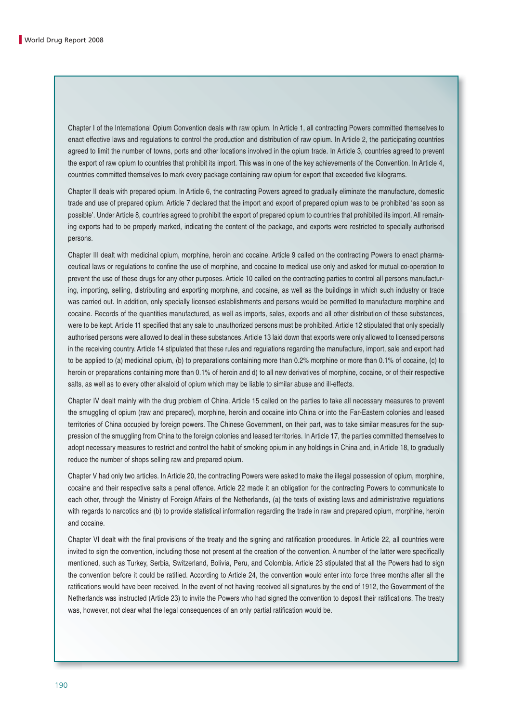Chapter I of the International Opium Convention deals with raw opium. In Article 1, all contracting Powers committed themselves to enact effective laws and regulations to control the production and distribution of raw opium. In Article 2, the participating countries agreed to limit the number of towns, ports and other locations involved in the opium trade. In Article 3, countries agreed to prevent the export of raw opium to countries that prohibit its import. This was in one of the key achievements of the Convention. In Article 4, countries committed themselves to mark every package containing raw opium for export that exceeded five kilograms.

Chapter II deals with prepared opium. In Article 6, the contracting Powers agreed to gradually eliminate the manufacture, domestic trade and use of prepared opium. Article 7 declared that the import and export of prepared opium was to be prohibited 'as soon as possible'. Under Article 8, countries agreed to prohibit the export of prepared opium to countries that prohibited its import. All remaining exports had to be properly marked, indicating the content of the package, and exports were restricted to specially authorised persons.

Chapter III dealt with medicinal opium, morphine, heroin and cocaine. Article 9 called on the contracting Powers to enact pharmaceutical laws or regulations to confine the use of morphine, and cocaine to medical use only and asked for mutual co-operation to prevent the use of these drugs for any other purposes. Article 10 called on the contracting parties to control all persons manufacturing, importing, selling, distributing and exporting morphine, and cocaine, as well as the buildings in which such industry or trade was carried out. In addition, only specially licensed establishments and persons would be permitted to manufacture morphine and cocaine. Records of the quantities manufactured, as well as imports, sales, exports and all other distribution of these substances, were to be kept. Article 11 specified that any sale to unauthorized persons must be prohibited. Article 12 stipulated that only specially authorised persons were allowed to deal in these substances. Article 13 laid down that exports were only allowed to licensed persons in the receiving country. Article 14 stipulated that these rules and regulations regarding the manufacture, import, sale and export had to be applied to (a) medicinal opium, (b) to preparations containing more than 0.2% morphine or more than 0.1% of cocaine, (c) to heroin or preparations containing more than 0.1% of heroin and d) to all new derivatives of morphine, cocaine, or of their respective salts, as well as to every other alkaloid of opium which may be liable to similar abuse and ill-effects.

Chapter IV dealt mainly with the drug problem of China. Article 15 called on the parties to take all necessary measures to prevent the smuggling of opium (raw and prepared), morphine, heroin and cocaine into China or into the Far-Eastern colonies and leased territories of China occupied by foreign powers. The Chinese Government, on their part, was to take similar measures for the suppression of the smuggling from China to the foreign colonies and leased territories. In Article 17, the parties committed themselves to adopt necessary measures to restrict and control the habit of smoking opium in any holdings in China and, in Article 18, to gradually reduce the number of shops selling raw and prepared opium.

Chapter V had only two articles. In Article 20, the contracting Powers were asked to make the illegal possession of opium, morphine, cocaine and their respective salts a penal offence. Article 22 made it an obligation for the contracting Powers to communicate to each other, through the Ministry of Foreign Affairs of the Netherlands, (a) the texts of existing laws and administrative regulations with regards to narcotics and (b) to provide statistical information regarding the trade in raw and prepared opium, morphine, heroin and cocaine.

Chapter VI dealt with the final provisions of the treaty and the signing and ratification procedures. In Article 22, all countries were invited to sign the convention, including those not present at the creation of the convention. A number of the latter were specifically mentioned, such as Turkey, Serbia, Switzerland, Bolivia, Peru, and Colombia. Article 23 stipulated that all the Powers had to sign the convention before it could be ratified. According to Article 24, the convention would enter into force three months after all the ratifications would have been received. In the event of not having received all signatures by the end of 1912, the Government of the Netherlands was instructed (Article 23) to invite the Powers who had signed the convention to deposit their ratifications. The treaty was, however, not clear what the legal consequences of an only partial ratification would be.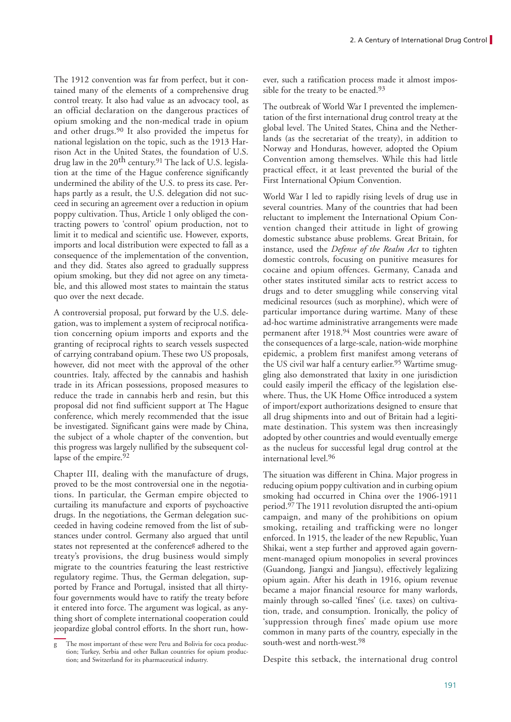The 1912 convention was far from perfect, but it contained many of the elements of a comprehensive drug control treaty. It also had value as an advocacy tool, as an official declaration on the dangerous practices of opium smoking and the non-medical trade in opium and other drugs.90 It also provided the impetus for national legislation on the topic, such as the 1913 Harrison Act in the United States, the foundation of U.S. drug law in the 20<sup>th</sup> century.<sup>91</sup> The lack of U.S. legislation at the time of the Hague conference significantly undermined the ability of the U.S. to press its case. Perhaps partly as a result, the U.S. delegation did not succeed in securing an agreement over a reduction in opium poppy cultivation. Thus, Article 1 only obliged the contracting powers to 'control' opium production, not to limit it to medical and scientific use. However, exports, imports and local distribution were expected to fall as a consequence of the implementation of the convention, and they did. States also agreed to gradually suppress opium smoking, but they did not agree on any timetable, and this allowed most states to maintain the status

A controversial proposal, put forward by the U.S. delegation, was to implement a system of reciprocal notification concerning opium imports and exports and the granting of reciprocal rights to search vessels suspected of carrying contraband opium. These two US proposals, however, did not meet with the approval of the other countries. Italy, affected by the cannabis and hashish trade in its African possessions, proposed measures to reduce the trade in cannabis herb and resin, but this proposal did not find sufficient support at The Hague conference, which merely recommended that the issue be investigated. Significant gains were made by China, the subject of a whole chapter of the convention, but this progress was largely nullified by the subsequent collapse of the empire.<sup>92</sup>

quo over the next decade.

Chapter III, dealing with the manufacture of drugs, proved to be the most controversial one in the negotiations. In particular, the German empire objected to curtailing its manufacture and exports of psychoactive drugs. In the negotiations, the German delegation succeeded in having codeine removed from the list of substances under control. Germany also argued that until states not represented at the conferenceg adhered to the treaty's provisions, the drug business would simply migrate to the countries featuring the least restrictive regulatory regime. Thus, the German delegation, supported by France and Portugal, insisted that all thirtyfour governments would have to ratify the treaty before it entered into force. The argument was logical, as anything short of complete international cooperation could jeopardize global control efforts. In the short run, how-

The most important of these were Peru and Bolivia for coca production; Turkey, Serbia and other Balkan countries for opium production; and Switzerland for its pharmaceutical industry.

ever, such a ratification process made it almost impossible for the treaty to be enacted.<sup>93</sup>

The outbreak of World War I prevented the implementation of the first international drug control treaty at the global level. The United States, China and the Netherlands (as the secretariat of the treaty), in addition to Norway and Honduras, however, adopted the Opium Convention among themselves. While this had little practical effect, it at least prevented the burial of the First International Opium Convention.

World War I led to rapidly rising levels of drug use in several countries. Many of the countries that had been reluctant to implement the International Opium Convention changed their attitude in light of growing domestic substance abuse problems. Great Britain, for instance, used the *Defense of the Realm Act* to tighten domestic controls, focusing on punitive measures for cocaine and opium offences. Germany, Canada and other states instituted similar acts to restrict access to drugs and to deter smuggling while conserving vital medicinal resources (such as morphine), which were of particular importance during wartime. Many of these ad-hoc wartime administrative arrangements were made permanent after 1918.94 Most countries were aware of the consequences of a large-scale, nation-wide morphine epidemic, a problem first manifest among veterans of the US civil war half a century earlier.<sup>95</sup> Wartime smuggling also demonstrated that laxity in one jurisdiction could easily imperil the efficacy of the legislation elsewhere. Thus, the UK Home Office introduced a system of import/export authorizations designed to ensure that all drug shipments into and out of Britain had a legitimate destination. This system was then increasingly adopted by other countries and would eventually emerge as the nucleus for successful legal drug control at the international level.96

The situation was different in China. Major progress in reducing opium poppy cultivation and in curbing opium smoking had occurred in China over the 1906-1911 period.97 The 1911 revolution disrupted the anti-opium campaign, and many of the prohibitions on opium smoking, retailing and trafficking were no longer enforced. In 1915, the leader of the new Republic, Yuan Shikai, went a step further and approved again government-managed opium monopolies in several provinces (Guandong, Jiangxi and Jiangsu), effectively legalizing opium again. After his death in 1916, opium revenue became a major financial resource for many warlords, mainly through so-called 'fines' (i.e. taxes) on cultivation, trade, and consumption. Ironically, the policy of 'suppression through fines' made opium use more common in many parts of the country, especially in the south-west and north-west.98

Despite this setback, the international drug control